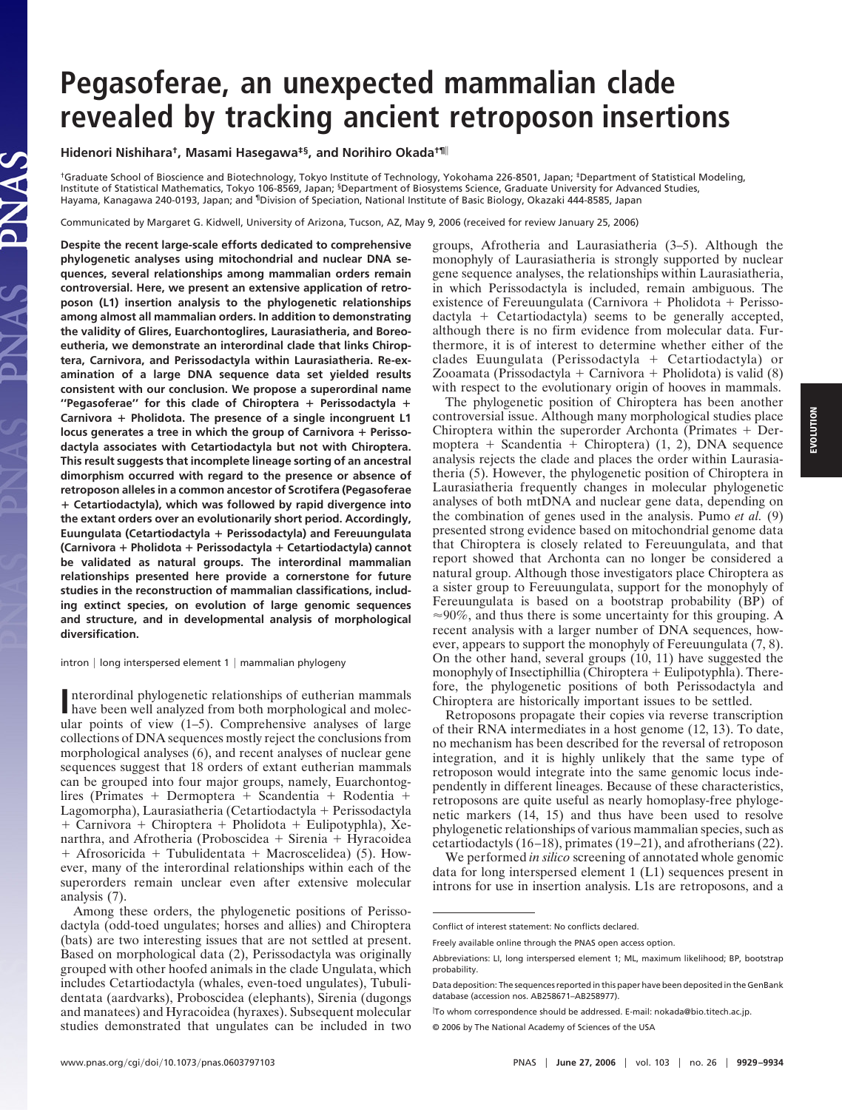## **Pegasoferae, an unexpected mammalian clade revealed by tracking ancient retroposon insertions**

**Hidenori Nishihara†, Masami Hasegawa‡§, and Norihiro Okada†¶**

JAS

†Graduate School of Bioscience and Biotechnology, Tokyo Institute of Technology, Yokohama 226-8501, Japan; ‡Department of Statistical Modeling, Institute of Statistical Mathematics, Tokyo 106-8569, Japan; §Department of Biosystems Science, Graduate University for Advanced Studies, Hayama, Kanagawa 240-0193, Japan; and ¶Division of Speciation, National Institute of Basic Biology, Okazaki 444-8585, Japan

Communicated by Margaret G. Kidwell, University of Arizona, Tucson, AZ, May 9, 2006 (received for review January 25, 2006)

**Despite the recent large-scale efforts dedicated to comprehensive phylogenetic analyses using mitochondrial and nuclear DNA sequences, several relationships among mammalian orders remain controversial. Here, we present an extensive application of retroposon (L1) insertion analysis to the phylogenetic relationships among almost all mammalian orders. In addition to demonstrating the validity of Glires, Euarchontoglires, Laurasiatheria, and Boreoeutheria, we demonstrate an interordinal clade that links Chiroptera, Carnivora, and Perissodactyla within Laurasiatheria. Re-examination of a large DNA sequence data set yielded results consistent with our conclusion. We propose a superordinal name ''Pegasoferae'' for this clade of Chiroptera Perissodactyla Carnivora Pholidota. The presence of a single incongruent L1** locus generates a tree in which the group of Carnivora + Perisso**dactyla associates with Cetartiodactyla but not with Chiroptera. This result suggests that incomplete lineage sorting of an ancestral dimorphism occurred with regard to the presence or absence of retroposon alleles in a common ancestor of Scrotifera (Pegasoferae Cetartiodactyla), which was followed by rapid divergence into the extant orders over an evolutionarily short period. Accordingly, Euungulata (Cetartiodactyla Perissodactyla) and Fereuungulata (Carnivora Pholidota Perissodactyla Cetartiodactyla) cannot be validated as natural groups. The interordinal mammalian relationships presented here provide a cornerstone for future studies in the reconstruction of mammalian classifications, including extinct species, on evolution of large genomic sequences and structure, and in developmental analysis of morphological diversification.**

intron | long interspersed element 1 | mammalian phylogeny

Interordinal phylogenetic relationships of eutherian mammals<br>have been well analyzed from both morphological and molechave been well analyzed from both morphological and molecular points of view (1–5). Comprehensive analyses of large collections of DNA sequences mostly reject the conclusions from morphological analyses (6), and recent analyses of nuclear gene sequences suggest that 18 orders of extant eutherian mammals can be grouped into four major groups, namely, Euarchontoglires (Primates + Dermoptera + Scandentia + Rodentia + Lagomorpha), Laurasiatheria (Cetartiodactyla Perissodactyla  $+$  Carnivora  $+$  Chiroptera  $+$  Pholidota  $+$  Eulipotyphla), Xenarthra, and Afrotheria (Proboscidea  $+$  Sirenia  $+$  Hyracoidea + Afrosoricida + Tubulidentata + Macroscelidea) (5). However, many of the interordinal relationships within each of the superorders remain unclear even after extensive molecular analysis (7).

Among these orders, the phylogenetic positions of Perissodactyla (odd-toed ungulates; horses and allies) and Chiroptera (bats) are two interesting issues that are not settled at present. Based on morphological data (2), Perissodactyla was originally grouped with other hoofed animals in the clade Ungulata, which includes Cetartiodactyla (whales, even-toed ungulates), Tubulidentata (aardvarks), Proboscidea (elephants), Sirenia (dugongs and manatees) and Hyracoidea (hyraxes). Subsequent molecular studies demonstrated that ungulates can be included in two

groups, Afrotheria and Laurasiatheria (3–5). Although the monophyly of Laurasiatheria is strongly supported by nuclear gene sequence analyses, the relationships within Laurasiatheria, in which Perissodactyla is included, remain ambiguous. The existence of Fereuungulata (Carnivora  $+$  Pholidota  $+$  Perisso $d$ actyla + Cetartiodactyla) seems to be generally accepted, although there is no firm evidence from molecular data. Furthermore, it is of interest to determine whether either of the clades Euungulata (Perissodactyla Cetartiodactyla) or Zooamata (Prissodactyla + Carnivora + Pholidota) is valid  $(8)$ with respect to the evolutionary origin of hooves in mammals.

The phylogenetic position of Chiroptera has been another controversial issue. Although many morphological studies place Chiroptera within the superorder Archonta (Primates  $+$  Dermoptera + Scandentia + Chiroptera) (1, 2), DNA sequence analysis rejects the clade and places the order within Laurasiatheria (5). However, the phylogenetic position of Chiroptera in Laurasiatheria frequently changes in molecular phylogenetic analyses of both mtDNA and nuclear gene data, depending on the combination of genes used in the analysis. Pumo *et al.* (9) presented strong evidence based on mitochondrial genome data that Chiroptera is closely related to Fereuungulata, and that report showed that Archonta can no longer be considered a natural group. Although those investigators place Chiroptera as a sister group to Fereuungulata, support for the monophyly of Fereuungulata is based on a bootstrap probability (BP) of  $\approx$ 90%, and thus there is some uncertainty for this grouping. A recent analysis with a larger number of DNA sequences, however, appears to support the monophyly of Fereuungulata (7, 8). On the other hand, several groups (10, 11) have suggested the monophyly of Insectiphillia (Chiroptera  $+$  Eulipotyphla). Therefore, the phylogenetic positions of both Perissodactyla and Chiroptera are historically important issues to be settled.

Retroposons propagate their copies via reverse transcription of their RNA intermediates in a host genome (12, 13). To date, no mechanism has been described for the reversal of retroposon integration, and it is highly unlikely that the same type of retroposon would integrate into the same genomic locus independently in different lineages. Because of these characteristics, retroposons are quite useful as nearly homoplasy-free phylogenetic markers (14, 15) and thus have been used to resolve phylogenetic relationships of various mammalian species, such as cetartiodactyls (16–18), primates (19–21), and afrotherians (22).

We performed *in silico* screening of annotated whole genomic data for long interspersed element 1 (L1) sequences present in introns for use in insertion analysis. L1s are retroposons, and a

Conflict of interest statement: No conflicts declared.

Freely available online through the PNAS open access option.

Abbreviations: LI, long interspersed element 1; ML, maximum likelihood; BP, bootstrap probability.

Data deposition: The sequences reported in this paper have been deposited in the GenBank database (accession nos. AB258671–AB258977).

To whom correspondence should be addressed. E-mail: nokada@bio.titech.ac.jp.

<sup>© 2006</sup> by The National Academy of Sciences of the USA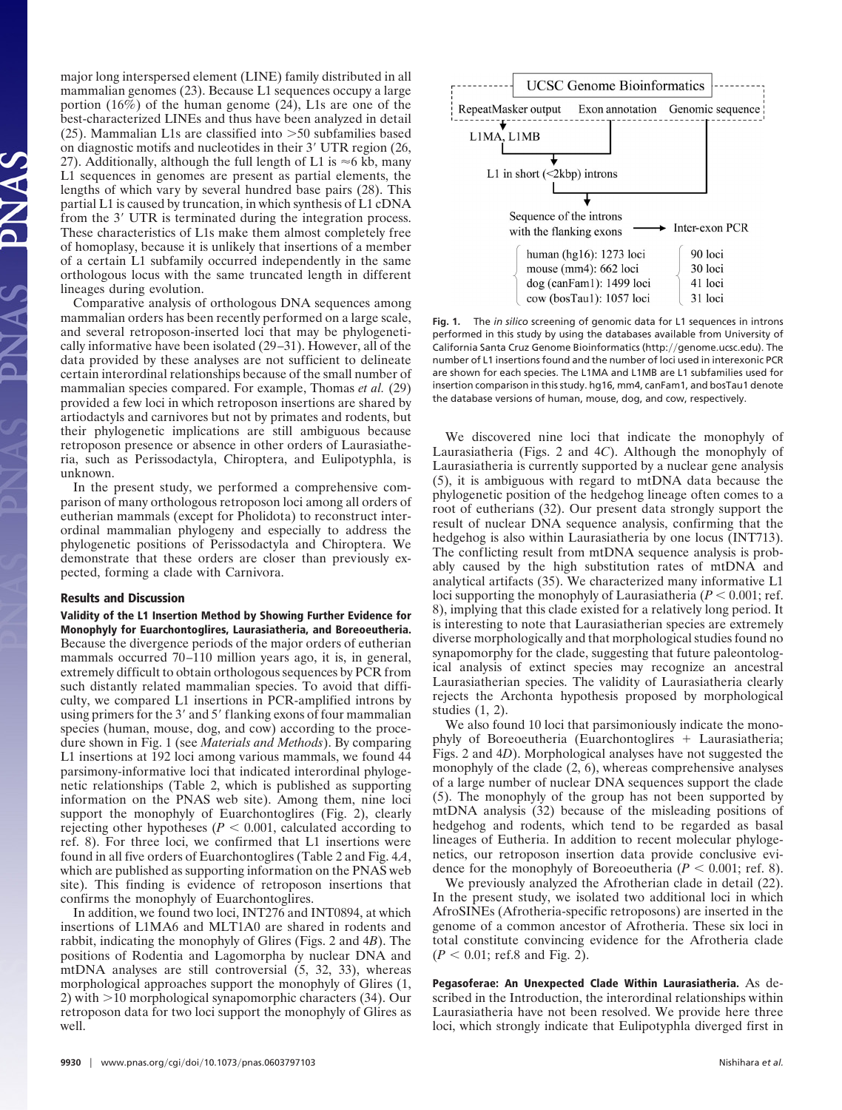major long interspersed element (LINE) family distributed in all mammalian genomes (23). Because L1 sequences occupy a large portion (16%) of the human genome (24), L1s are one of the best-characterized LINEs and thus have been analyzed in detail (25). Mammalian L1s are classified into  $>50$  subfamilies based on diagnostic motifs and nucleotides in their 3' UTR region (26, 27). Additionally, although the full length of L1 is  $\approx$ 6 kb, many L1 sequences in genomes are present as partial elements, the lengths of which vary by several hundred base pairs (28). This partial L1 is caused by truncation, in which synthesis of L1 cDNA from the 3' UTR is terminated during the integration process. These characteristics of L1s make them almost completely free of homoplasy, because it is unlikely that insertions of a member of a certain L1 subfamily occurred independently in the same orthologous locus with the same truncated length in different lineages during evolution.

Comparative analysis of orthologous DNA sequences among mammalian orders has been recently performed on a large scale, and several retroposon-inserted loci that may be phylogenetically informative have been isolated (29–31). However, all of the data provided by these analyses are not sufficient to delineate certain interordinal relationships because of the small number of mammalian species compared. For example, Thomas *et al.* (29) provided a few loci in which retroposon insertions are shared by artiodactyls and carnivores but not by primates and rodents, but their phylogenetic implications are still ambiguous because retroposon presence or absence in other orders of Laurasiatheria, such as Perissodactyla, Chiroptera, and Eulipotyphla, is unknown.

In the present study, we performed a comprehensive comparison of many orthologous retroposon loci among all orders of eutherian mammals (except for Pholidota) to reconstruct interordinal mammalian phylogeny and especially to address the phylogenetic positions of Perissodactyla and Chiroptera. We demonstrate that these orders are closer than previously expected, forming a clade with Carnivora.

## **Results and Discussion**

**Validity of the L1 Insertion Method by Showing Further Evidence for Monophyly for Euarchontoglires, Laurasiatheria, and Boreoeutheria.** Because the divergence periods of the major orders of eutherian mammals occurred 70–110 million years ago, it is, in general, extremely difficult to obtain orthologous sequences by PCR from such distantly related mammalian species. To avoid that difficulty, we compared L1 insertions in PCR-amplified introns by using primers for the 3' and 5' flanking exons of four mammalian species (human, mouse, dog, and cow) according to the procedure shown in Fig. 1 (see *Materials and Methods*). By comparing L1 insertions at 192 loci among various mammals, we found 44 parsimony-informative loci that indicated interordinal phylogenetic relationships (Table 2, which is published as supporting information on the PNAS web site). Among them, nine loci support the monophyly of Euarchontoglires (Fig. 2), clearly rejecting other hypotheses ( $P < 0.001$ , calculated according to ref. 8). For three loci, we confirmed that L1 insertions were found in all five orders of Euarchontoglires (Table 2 and Fig. 4*A*, which are published as supporting information on the PNAS web site). This finding is evidence of retroposon insertions that confirms the monophyly of Euarchontoglires.

In addition, we found two loci, INT276 and INT0894, at which insertions of L1MA6 and MLT1A0 are shared in rodents and rabbit, indicating the monophyly of Glires (Figs. 2 and 4*B*). The positions of Rodentia and Lagomorpha by nuclear DNA and mtDNA analyses are still controversial (5, 32, 33), whereas morphological approaches support the monophyly of Glires (1, 2) with  $>10$  morphological synapomorphic characters (34). Our retroposon data for two loci support the monophyly of Glires as well.



**Fig. 1.** The *in silico* screening of genomic data for L1 sequences in introns performed in this study by using the databases available from University of California Santa Cruz Genome Bioinformatics (http://genome.ucsc.edu). The number of L1 insertions found and the number of loci used in interexonic PCR are shown for each species. The L1MA and L1MB are L1 subfamilies used for insertion comparison in this study. hg16, mm4, canFam1, and bosTau1 denote the database versions of human, mouse, dog, and cow, respectively.

We discovered nine loci that indicate the monophyly of Laurasiatheria (Figs. 2 and 4*C*). Although the monophyly of Laurasiatheria is currently supported by a nuclear gene analysis (5), it is ambiguous with regard to mtDNA data because the phylogenetic position of the hedgehog lineage often comes to a root of eutherians (32). Our present data strongly support the result of nuclear DNA sequence analysis, confirming that the hedgehog is also within Laurasiatheria by one locus (INT713). The conflicting result from mtDNA sequence analysis is probably caused by the high substitution rates of mtDNA and analytical artifacts (35). We characterized many informative L1 loci supporting the monophyly of Laurasiatheria ( $P < 0.001$ ; ref. 8), implying that this clade existed for a relatively long period. It is interesting to note that Laurasiatherian species are extremely diverse morphologically and that morphological studies found no synapomorphy for the clade, suggesting that future paleontological analysis of extinct species may recognize an ancestral Laurasiatherian species. The validity of Laurasiatheria clearly rejects the Archonta hypothesis proposed by morphological studies (1, 2).

We also found 10 loci that parsimoniously indicate the monophyly of Boreoeutheria (Euarchontoglires Laurasiatheria; Figs. 2 and 4*D*). Morphological analyses have not suggested the monophyly of the clade (2, 6), whereas comprehensive analyses of a large number of nuclear DNA sequences support the clade (5). The monophyly of the group has not been supported by mtDNA analysis (32) because of the misleading positions of hedgehog and rodents, which tend to be regarded as basal lineages of Eutheria. In addition to recent molecular phylogenetics, our retroposon insertion data provide conclusive evidence for the monophyly of Boreoeutheria ( $P < 0.001$ ; ref. 8).

We previously analyzed the Afrotherian clade in detail (22). In the present study, we isolated two additional loci in which AfroSINEs (Afrotheria-specific retroposons) are inserted in the genome of a common ancestor of Afrotheria. These six loci in total constitute convincing evidence for the Afrotheria clade  $(P < 0.01$ ; ref.8 and Fig. 2).

**Pegasoferae: An Unexpected Clade Within Laurasiatheria.** As described in the Introduction, the interordinal relationships within Laurasiatheria have not been resolved. We provide here three loci, which strongly indicate that Eulipotyphla diverged first in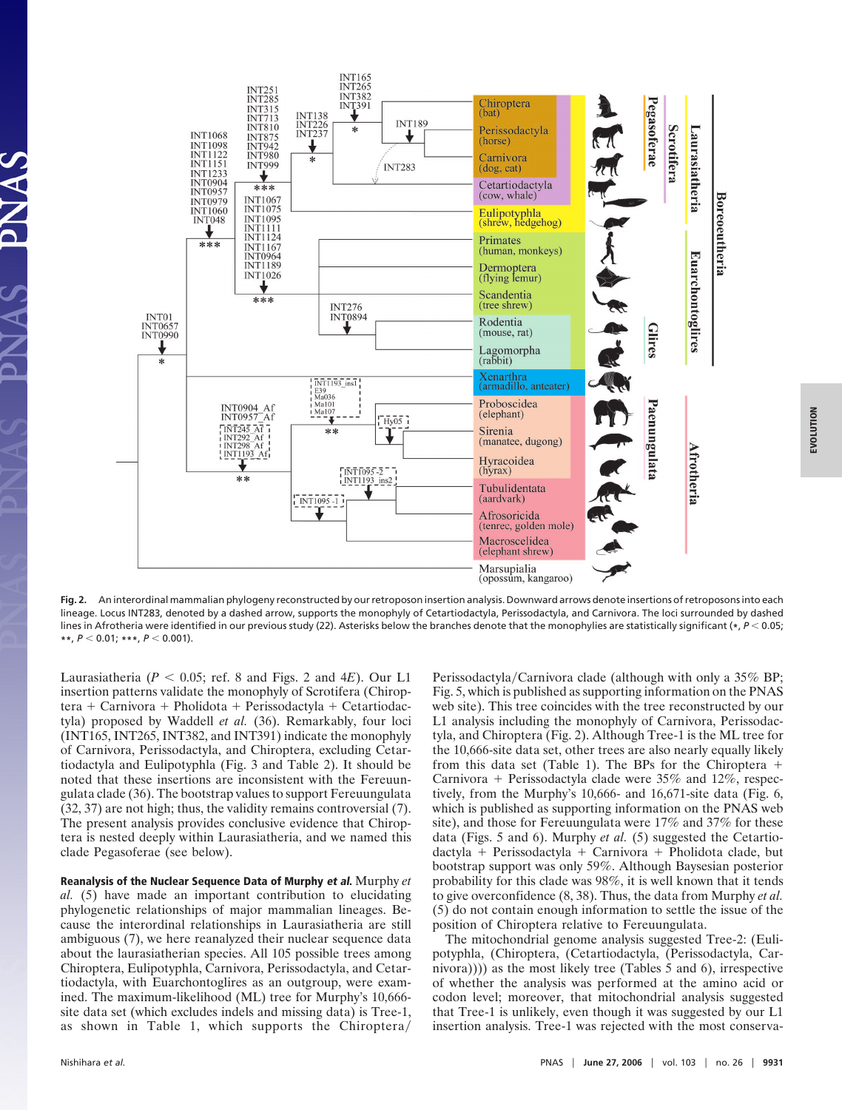

**Fig. 2.** An interordinal mammalian phylogeny reconstructed by our retroposon insertion analysis. Downward arrows denote insertions of retroposons into each lineage. Locus INT283, denoted by a dashed arrow, supports the monophyly of Cetartiodactyla, Perissodactyla, and Carnivora. The loci surrounded by dashed lines in Afrotheria were identified in our previous study (22). Asterisks below the branches denote that the monophylies are statistically significant (\*, *P* < 0.05; **\*\***, *P* 0.01; **\*\*\***, *P* 0.001).

Laurasiatheria ( $P < 0.05$ ; ref. 8 and Figs. 2 and 4*E*). Our L1 insertion patterns validate the monophyly of Scrotifera (Chirop $tera + Carnivora + Pholidota + Perissodactyla + Cetartiodac$ tyla) proposed by Waddell *et al.* (36). Remarkably, four loci (INT165, INT265, INT382, and INT391) indicate the monophyly of Carnivora, Perissodactyla, and Chiroptera, excluding Cetartiodactyla and Eulipotyphla (Fig. 3 and Table 2). It should be noted that these insertions are inconsistent with the Fereuungulata clade (36). The bootstrap values to support Fereuungulata (32, 37) are not high; thus, the validity remains controversial (7). The present analysis provides conclusive evidence that Chiroptera is nested deeply within Laurasiatheria, and we named this clade Pegasoferae (see below).

**Reanalysis of the Nuclear Sequence Data of Murphy et al.** Murphy *et al.* (5) have made an important contribution to elucidating phylogenetic relationships of major mammalian lineages. Because the interordinal relationships in Laurasiatheria are still ambiguous (7), we here reanalyzed their nuclear sequence data about the laurasiatherian species. All 105 possible trees among Chiroptera, Eulipotyphla, Carnivora, Perissodactyla, and Cetartiodactyla, with Euarchontoglires as an outgroup, were examined. The maximum-likelihood (ML) tree for Murphy's 10,666 site data set (which excludes indels and missing data) is Tree-1, as shown in Table 1, which supports the Chiroptera

Perissodactyla/Carnivora clade (although with only a 35% BP; Fig. 5, which is published as supporting information on the PNAS web site). This tree coincides with the tree reconstructed by our L1 analysis including the monophyly of Carnivora, Perissodactyla, and Chiroptera (Fig. 2). Although Tree-1 is the ML tree for the 10,666-site data set, other trees are also nearly equally likely from this data set (Table 1). The BPs for the Chiroptera  $+$ Carnivora  $+$  Perissodactyla clade were 35% and 12%, respectively, from the Murphy's 10,666- and 16,671-site data (Fig. 6, which is published as supporting information on the PNAS web site), and those for Fereuungulata were 17% and 37% for these data (Figs. 5 and 6). Murphy *et al.* (5) suggested the Cetartio $d$ actyla + Perissodactyla + Carnivora + Pholidota clade, but bootstrap support was only 59%. Although Baysesian posterior probability for this clade was 98%, it is well known that it tends to give overconfidence (8, 38). Thus, the data from Murphy *et al.* (5) do not contain enough information to settle the issue of the position of Chiroptera relative to Fereuungulata.

The mitochondrial genome analysis suggested Tree-2: (Eulipotyphla, (Chiroptera, (Cetartiodactyla, (Perissodactyla, Carnivora)))) as the most likely tree (Tables 5 and 6), irrespective of whether the analysis was performed at the amino acid or codon level; moreover, that mitochondrial analysis suggested that Tree-1 is unlikely, even though it was suggested by our L1 insertion analysis. Tree-1 was rejected with the most conserva-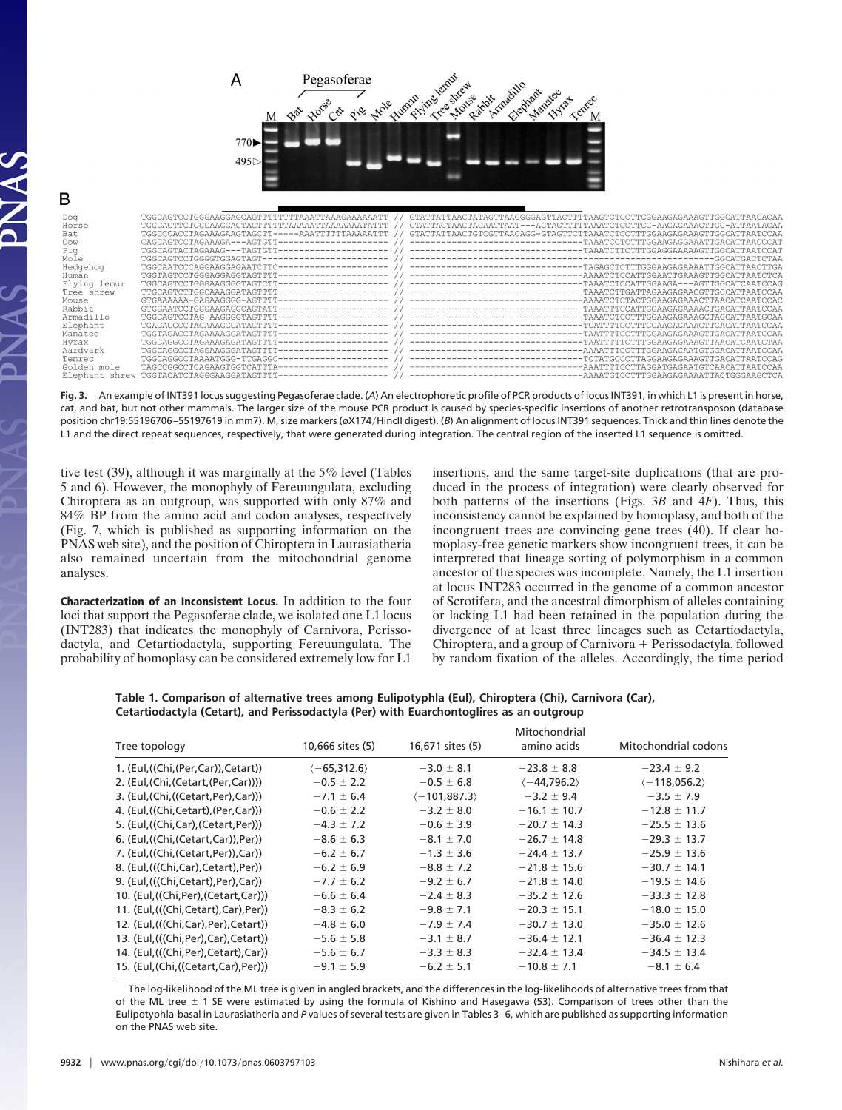

**Fig. 3.** An example of INT391 locus suggesting Pegasoferae clade. (*A*) An electrophoretic profile of PCR products of locus INT391, in which L1 is present in horse, cat, and bat, but not other mammals. The larger size of the mouse PCR product is caused by species-specific insertions of another retrotransposon (database position chr19:55196706–55197619 in mm7). M, size markers (øX174HincII digest). (*B*) An alignment of locus INT391 sequences. Thick and thin lines denote the L1 and the direct repeat sequences, respectively, that were generated during integration. The central region of the inserted L1 sequence is omitted.

tive test (39), although it was marginally at the 5% level (Tables 5 and 6). However, the monophyly of Fereuungulata, excluding Chiroptera as an outgroup, was supported with only 87% and 84% BP from the amino acid and codon analyses, respectively (Fig. 7, which is published as supporting information on the PNAS web site), and the position of Chiroptera in Laurasiatheria also remained uncertain from the mitochondrial genome analyses.

**Characterization of an Inconsistent Locus.** In addition to the four loci that support the Pegasoferae clade, we isolated one L1 locus (INT283) that indicates the monophyly of Carnivora, Perissodactyla, and Cetartiodactyla, supporting Fereuungulata. The probability of homoplasy can be considered extremely low for L1 insertions, and the same target-site duplications (that are produced in the process of integration) were clearly observed for both patterns of the insertions (Figs. 3*B* and 4*F*). Thus, this inconsistency cannot be explained by homoplasy, and both of the incongruent trees are convincing gene trees (40). If clear homoplasy-free genetic markers show incongruent trees, it can be interpreted that lineage sorting of polymorphism in a common ancestor of the species was incomplete. Namely, the L1 insertion at locus INT283 occurred in the genome of a common ancestor of Scrotifera, and the ancestral dimorphism of alleles containing or lacking L1 had been retained in the population during the divergence of at least three lineages such as Cetartiodactyla, Chiroptera, and a group of Carnivora + Perissodactyla, followed by random fixation of the alleles. Accordingly, the time period

| Table 1. Comparison of alternative trees among Eulipotyphla (Eul), Chiroptera (Chi), Carnivora (Car), |  |  |  |  |  |
|-------------------------------------------------------------------------------------------------------|--|--|--|--|--|
| Cetartiodactyla (Cetart), and Perissodactyla (Per) with Euarchontoglires as an outgroup               |  |  |  |  |  |

| $-23.8 \pm 8.8$  | $-23.4 \pm 9.2$               |
|------------------|-------------------------------|
|                  |                               |
|                  | $\langle -118, 056.2 \rangle$ |
| $-3.2 \pm 9.4$   | $-3.5 \pm 7.9$                |
| $-16.1 \pm 10.7$ | $-12.8 \pm 11.7$              |
| $-20.7 \pm 14.3$ | $-25.5 \pm 13.6$              |
| $-26.7 \pm 14.8$ | $-29.3 \pm 13.7$              |
| $-24.4 \pm 13.7$ | $-25.9 \pm 13.6$              |
| $-21.8 \pm 15.6$ | $-30.7 \pm 14.1$              |
| $-21.8 \pm 14.0$ | $-19.5 \pm 14.6$              |
| $-35.2 \pm 12.6$ | $-33.3 \pm 12.8$              |
| $-20.3 \pm 15.1$ | $-18.0 \pm 15.0$              |
| $-30.7 \pm 13.0$ | $-35.0 \pm 12.6$              |
| $-36.4 \pm 12.1$ | $-36.4 \pm 12.3$              |
| $-32.4 \pm 13.4$ | $-34.5 \pm 13.4$              |
| $-10.8 \pm 7.1$  | $-8.1 \pm 6.4$                |
|                  | $\langle -44, 796.2 \rangle$  |

The log-likelihood of the ML tree is given in angled brackets, and the differences in the log-likelihoods of alternative trees from that of the ML tree  $\pm$  1 SE were estimated by using the formula of Kishino and Hasegawa (53). Comparison of trees other than the Eulipotyphla-basal in Laurasiatheria and *P* values of several tests are given in Tables 3–6, which are published as supporting information on the PNAS web site.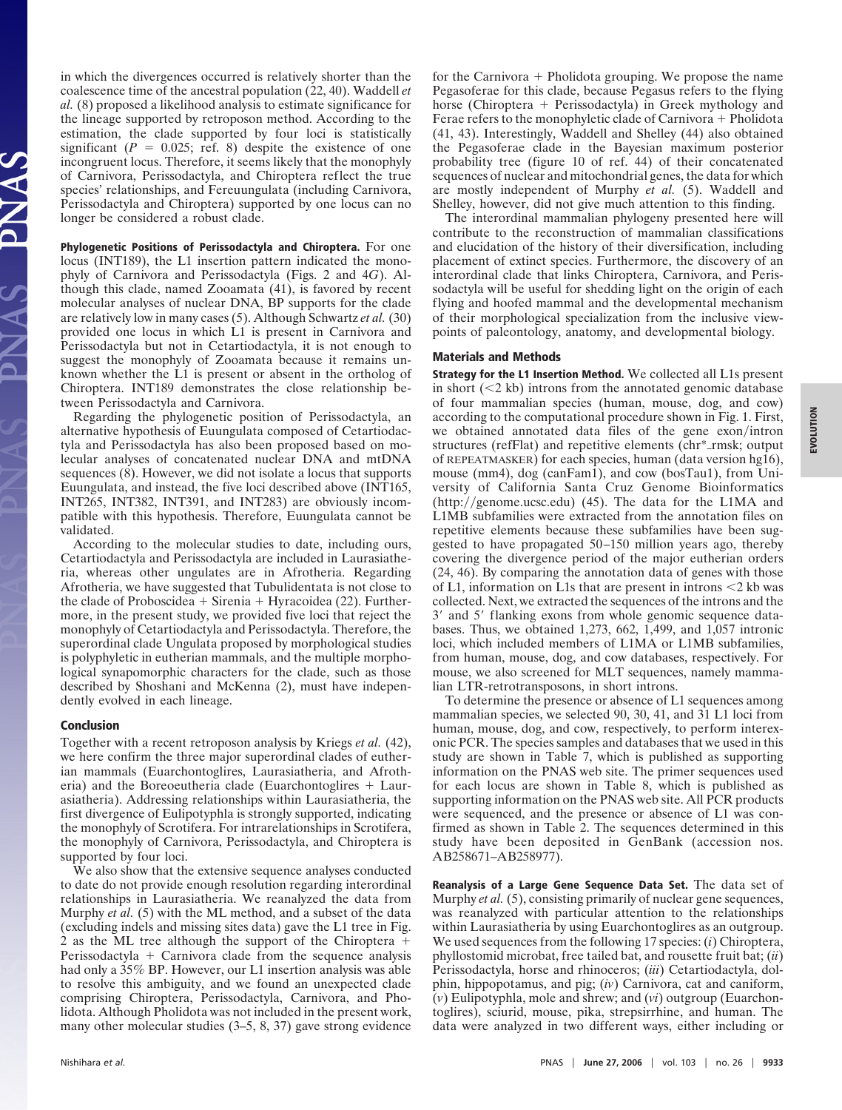in which the divergences occurred is relatively shorter than the coalescence time of the ancestral population (22, 40). Waddell *et al.* (8) proposed a likelihood analysis to estimate significance for the lineage supported by retroposon method. According to the estimation, the clade supported by four loci is statistically significant  $(P = 0.025;$  ref. 8) despite the existence of one incongruent locus. Therefore, it seems likely that the monophyly of Carnivora, Perissodactyla, and Chiroptera reflect the true species' relationships, and Fereuungulata (including Carnivora, Perissodactyla and Chiroptera) supported by one locus can no longer be considered a robust clade.

**Phylogenetic Positions of Perissodactyla and Chiroptera.** For one locus (INT189), the L1 insertion pattern indicated the monophyly of Carnivora and Perissodactyla (Figs. 2 and 4*G*). Although this clade, named Zooamata (41), is favored by recent molecular analyses of nuclear DNA, BP supports for the clade are relatively low in many cases (5). Although Schwartz *et al.* (30) provided one locus in which L1 is present in Carnivora and Perissodactyla but not in Cetartiodactyla, it is not enough to suggest the monophyly of Zooamata because it remains unknown whether the L1 is present or absent in the ortholog of Chiroptera. INT189 demonstrates the close relationship between Perissodactyla and Carnivora.

Regarding the phylogenetic position of Perissodactyla, an alternative hypothesis of Euungulata composed of Cetartiodactyla and Perissodactyla has also been proposed based on molecular analyses of concatenated nuclear DNA and mtDNA sequences (8). However, we did not isolate a locus that supports Euungulata, and instead, the five loci described above (INT165, INT265, INT382, INT391, and INT283) are obviously incompatible with this hypothesis. Therefore, Euungulata cannot be validated.

According to the molecular studies to date, including ours, Cetartiodactyla and Perissodactyla are included in Laurasiatheria, whereas other ungulates are in Afrotheria. Regarding Afrotheria, we have suggested that Tubulidentata is not close to the clade of Proboscidea  $+$  Sirenia  $+$  Hyracoidea (22). Furthermore, in the present study, we provided five loci that reject the monophyly of Cetartiodactyla and Perissodactyla. Therefore, the superordinal clade Ungulata proposed by morphological studies is polyphyletic in eutherian mammals, and the multiple morphological synapomorphic characters for the clade, such as those described by Shoshani and McKenna (2), must have independently evolved in each lineage.

## **Conclusion**

Together with a recent retroposon analysis by Kriegs *et al.* (42), we here confirm the three major superordinal clades of eutherian mammals (Euarchontoglires, Laurasiatheria, and Afrotheria) and the Boreoeutheria clade (Euarchontoglires + Laurasiatheria). Addressing relationships within Laurasiatheria, the first divergence of Eulipotyphla is strongly supported, indicating the monophyly of Scrotifera. For intrarelationships in Scrotifera, the monophyly of Carnivora, Perissodactyla, and Chiroptera is supported by four loci.

We also show that the extensive sequence analyses conducted to date do not provide enough resolution regarding interordinal relationships in Laurasiatheria. We reanalyzed the data from Murphy *et al.* (5) with the ML method, and a subset of the data (excluding indels and missing sites data) gave the L1 tree in Fig. 2 as the ML tree although the support of the Chiroptera Perissodactyla  $+$  Carnivora clade from the sequence analysis had only a 35% BP. However, our L1 insertion analysis was able to resolve this ambiguity, and we found an unexpected clade comprising Chiroptera, Perissodactyla, Carnivora, and Pholidota. Although Pholidota was not included in the present work, many other molecular studies (3–5, 8, 37) gave strong evidence for the Carnivora  $+$  Pholidota grouping. We propose the name Pegasoferae for this clade, because Pegasus refers to the flying horse (Chiroptera + Perissodactyla) in Greek mythology and Ferae refers to the monophyletic clade of Carnivora + Pholidota (41, 43). Interestingly, Waddell and Shelley (44) also obtained the Pegasoferae clade in the Bayesian maximum posterior probability tree (figure 10 of ref. 44) of their concatenated sequences of nuclear and mitochondrial genes, the data for which are mostly independent of Murphy *et al.* (5). Waddell and Shelley, however, did not give much attention to this finding.

The interordinal mammalian phylogeny presented here will contribute to the reconstruction of mammalian classifications and elucidation of the history of their diversification, including placement of extinct species. Furthermore, the discovery of an interordinal clade that links Chiroptera, Carnivora, and Perissodactyla will be useful for shedding light on the origin of each flying and hoofed mammal and the developmental mechanism of their morphological specialization from the inclusive viewpoints of paleontology, anatomy, and developmental biology.

## **Materials and Methods**

**Strategy for the L1 Insertion Method.** We collected all L1s present in short  $(< 2$  kb) introns from the annotated genomic database of four mammalian species (human, mouse, dog, and cow) according to the computational procedure shown in Fig. 1. First, we obtained annotated data files of the gene exon/intron structures (refFlat) and repetitive elements (chr\*\_rmsk; output of REPEATMASKER) for each species, human (data version hg16), mouse (mm4), dog (canFam1), and cow (bosTau1), from University of California Santa Cruz Genome Bioinformatics  $(\text{http://genome.ucsc.edu)}$  (45). The data for the L1MA and L1MB subfamilies were extracted from the annotation files on repetitive elements because these subfamilies have been suggested to have propagated 50–150 million years ago, thereby covering the divergence period of the major eutherian orders (24, 46). By comparing the annotation data of genes with those of L1, information on L1s that are present in introns  $\leq 2$  kb was collected. Next, we extracted the sequences of the introns and the 3' and 5' flanking exons from whole genomic sequence databases. Thus, we obtained 1,273, 662, 1,499, and 1,057 intronic loci, which included members of L1MA or L1MB subfamilies, from human, mouse, dog, and cow databases, respectively. For mouse, we also screened for MLT sequences, namely mammalian LTR-retrotransposons, in short introns.

To determine the presence or absence of L1 sequences among mammalian species, we selected 90, 30, 41, and 31 L1 loci from human, mouse, dog, and cow, respectively, to perform interexonic PCR. The species samples and databases that we used in this study are shown in Table 7, which is published as supporting information on the PNAS web site. The primer sequences used for each locus are shown in Table 8, which is published as supporting information on the PNAS web site. All PCR products were sequenced, and the presence or absence of L1 was confirmed as shown in Table 2. The sequences determined in this study have been deposited in GenBank (accession nos. AB258671–AB258977).

**Reanalysis of a Large Gene Sequence Data Set.** The data set of Murphy *et al.* (5), consisting primarily of nuclear gene sequences, was reanalyzed with particular attention to the relationships within Laurasiatheria by using Euarchontoglires as an outgroup. We used sequences from the following 17 species: (*i*) Chiroptera, phyllostomid microbat, free tailed bat, and rousette fruit bat; (*ii*) Perissodactyla, horse and rhinoceros; (*iii*) Cetartiodactyla, dolphin, hippopotamus, and pig; (*iv*) Carnivora, cat and caniform, (*v*) Eulipotyphla, mole and shrew; and (*vi*) outgroup (Euarchontoglires), sciurid, mouse, pika, strepsirrhine, and human. The data were analyzed in two different ways, either including or